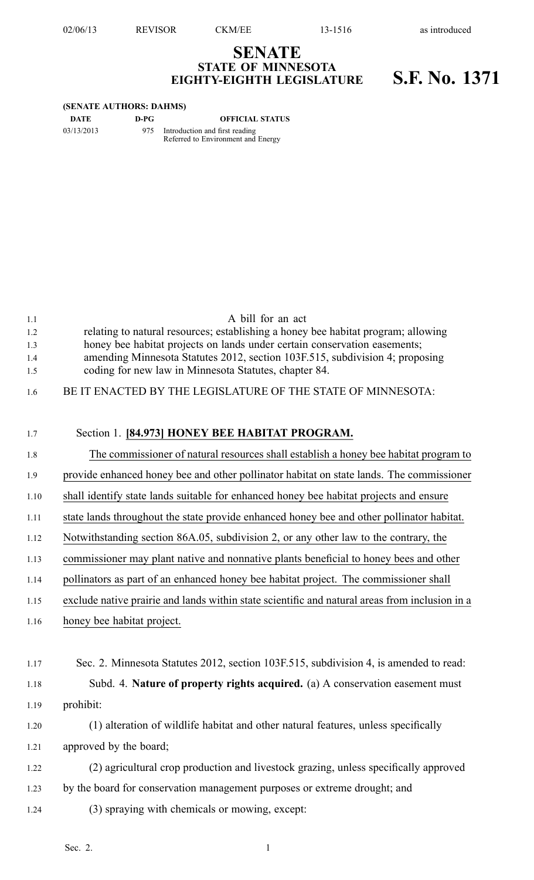02/06/13 REVISOR CKM/EE 13-1516 as introduced

## **SENATE STATE OF MINNESOTA EIGHTY-EIGHTH LEGISLATURE S.F. No. 1371**

## **(SENATE AUTHORS: DAHMS)**

**DATE D-PG OFFICIAL STATUS**

03/13/2013 975 Introduction and first reading Referred to Environment and Energy

| 1.1  | A bill for an act                                                                              |
|------|------------------------------------------------------------------------------------------------|
| 1.2  | relating to natural resources; establishing a honey bee habitat program; allowing              |
| 1.3  | honey bee habitat projects on lands under certain conservation easements;                      |
| 1.4  | amending Minnesota Statutes 2012, section 103F.515, subdivision 4; proposing                   |
| 1.5  | coding for new law in Minnesota Statutes, chapter 84.                                          |
| 1.6  | BE IT ENACTED BY THE LEGISLATURE OF THE STATE OF MINNESOTA:                                    |
|      |                                                                                                |
| 1.7  | Section 1. [84.973] HONEY BEE HABITAT PROGRAM.                                                 |
| 1.8  | The commissioner of natural resources shall establish a honey bee habitat program to           |
| 1.9  | provide enhanced honey bee and other pollinator habitat on state lands. The commissioner       |
| 1.10 | shall identify state lands suitable for enhanced honey bee habitat projects and ensure         |
| 1.11 | state lands throughout the state provide enhanced honey bee and other pollinator habitat.      |
| 1.12 | Notwithstanding section 86A.05, subdivision 2, or any other law to the contrary, the           |
| 1.13 | commissioner may plant native and nonnative plants beneficial to honey bees and other          |
| 1.14 | pollinators as part of an enhanced honey bee habitat project. The commissioner shall           |
| 1.15 | exclude native prairie and lands within state scientific and natural areas from inclusion in a |
| 1.16 | honey bee habitat project.                                                                     |
|      |                                                                                                |
| 1.17 | Sec. 2. Minnesota Statutes 2012, section 103F.515, subdivision 4, is amended to read:          |
| 1.18 | Subd. 4. Nature of property rights acquired. (a) A conservation easement must                  |
| 1.19 |                                                                                                |
|      | prohibit:                                                                                      |
| 1.20 | (1) alteration of wildlife habitat and other natural features, unless specifically             |
| 1.21 | approved by the board;                                                                         |
| 1.22 | (2) agricultural crop production and livestock grazing, unless specifically approved           |
| 1.23 | by the board for conservation management purposes or extreme drought; and                      |